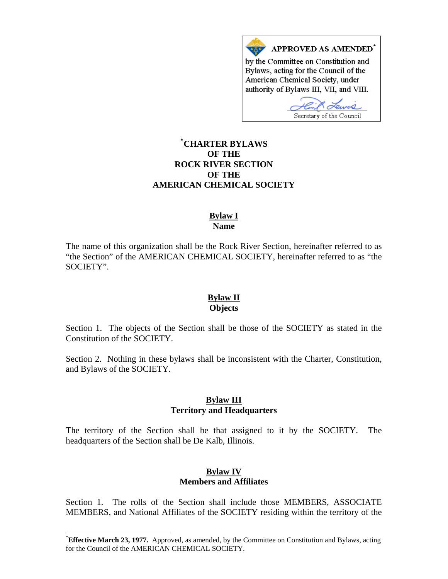

# **[\\*](#page-0-0) CHARTER BYLAWS OF THE ROCK RIVER SECTION OF THE AMERICAN CHEMICAL SOCIETY**

#### **Bylaw I Name**

The name of this organization shall be the Rock River Section, hereinafter referred to as "the Section" of the AMERICAN CHEMICAL SOCIETY, hereinafter referred to as "the SOCIETY".

#### **Bylaw II Objects**

Section 1. The objects of the Section shall be those of the SOCIETY as stated in the Constitution of the SOCIETY.

Section 2. Nothing in these bylaws shall be inconsistent with the Charter, Constitution, and Bylaws of the SOCIETY.

#### **Bylaw III Territory and Headquarters**

The territory of the Section shall be that assigned to it by the SOCIETY. The headquarters of the Section shall be De Kalb, Illinois.

# **Bylaw IV Members and Affiliates**

Section 1. The rolls of the Section shall include those MEMBERS, ASSOCIATE MEMBERS, and National Affiliates of the SOCIETY residing within the territory of the

 $\overline{\phantom{a}}$ 

<span id="page-0-0"></span><sup>\*</sup> **Effective March 23, 1977.** Approved, as amended, by the Committee on Constitution and Bylaws, acting for the Council of the AMERICAN CHEMICAL SOCIETY.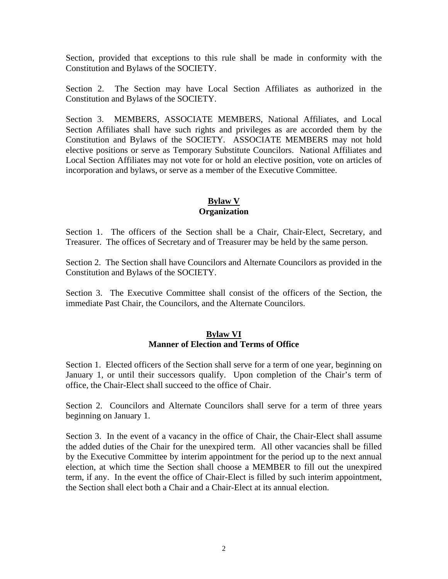Section, provided that exceptions to this rule shall be made in conformity with the Constitution and Bylaws of the SOCIETY.

Section 2. The Section may have Local Section Affiliates as authorized in the Constitution and Bylaws of the SOCIETY.

Section 3. MEMBERS, ASSOCIATE MEMBERS, National Affiliates, and Local Section Affiliates shall have such rights and privileges as are accorded them by the Constitution and Bylaws of the SOCIETY. ASSOCIATE MEMBERS may not hold elective positions or serve as Temporary Substitute Councilors. National Affiliates and Local Section Affiliates may not vote for or hold an elective position, vote on articles of incorporation and bylaws, or serve as a member of the Executive Committee.

## **Bylaw V Organization**

Section 1. The officers of the Section shall be a Chair, Chair-Elect, Secretary, and Treasurer. The offices of Secretary and of Treasurer may be held by the same person.

Section 2. The Section shall have Councilors and Alternate Councilors as provided in the Constitution and Bylaws of the SOCIETY.

Section 3. The Executive Committee shall consist of the officers of the Section, the immediate Past Chair, the Councilors, and the Alternate Councilors.

#### **Bylaw VI Manner of Election and Terms of Office**

Section 1. Elected officers of the Section shall serve for a term of one year, beginning on January 1, or until their successors qualify. Upon completion of the Chair's term of office, the Chair-Elect shall succeed to the office of Chair.

Section 2. Councilors and Alternate Councilors shall serve for a term of three years beginning on January 1.

Section 3. In the event of a vacancy in the office of Chair, the Chair-Elect shall assume the added duties of the Chair for the unexpired term. All other vacancies shall be filled by the Executive Committee by interim appointment for the period up to the next annual election, at which time the Section shall choose a MEMBER to fill out the unexpired term, if any. In the event the office of Chair-Elect is filled by such interim appointment, the Section shall elect both a Chair and a Chair-Elect at its annual election.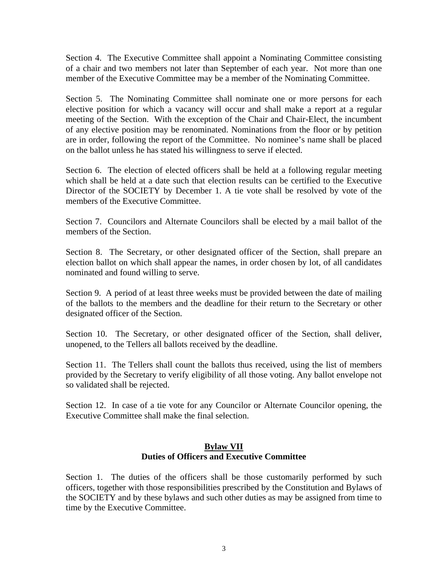Section 4. The Executive Committee shall appoint a Nominating Committee consisting of a chair and two members not later than September of each year. Not more than one member of the Executive Committee may be a member of the Nominating Committee.

Section 5. The Nominating Committee shall nominate one or more persons for each elective position for which a vacancy will occur and shall make a report at a regular meeting of the Section. With the exception of the Chair and Chair-Elect, the incumbent of any elective position may be renominated. Nominations from the floor or by petition are in order, following the report of the Committee. No nominee's name shall be placed on the ballot unless he has stated his willingness to serve if elected.

Section 6. The election of elected officers shall be held at a following regular meeting which shall be held at a date such that election results can be certified to the Executive Director of the SOCIETY by December 1. A tie vote shall be resolved by vote of the members of the Executive Committee.

Section 7. Councilors and Alternate Councilors shall be elected by a mail ballot of the members of the Section.

Section 8. The Secretary, or other designated officer of the Section, shall prepare an election ballot on which shall appear the names, in order chosen by lot, of all candidates nominated and found willing to serve.

Section 9. A period of at least three weeks must be provided between the date of mailing of the ballots to the members and the deadline for their return to the Secretary or other designated officer of the Section.

Section 10. The Secretary, or other designated officer of the Section, shall deliver, unopened, to the Tellers all ballots received by the deadline.

Section 11. The Tellers shall count the ballots thus received, using the list of members provided by the Secretary to verify eligibility of all those voting. Any ballot envelope not so validated shall be rejected.

Section 12. In case of a tie vote for any Councilor or Alternate Councilor opening, the Executive Committee shall make the final selection.

## **Bylaw VII Duties of Officers and Executive Committee**

Section 1. The duties of the officers shall be those customarily performed by such officers, together with those responsibilities prescribed by the Constitution and Bylaws of the SOCIETY and by these bylaws and such other duties as may be assigned from time to time by the Executive Committee.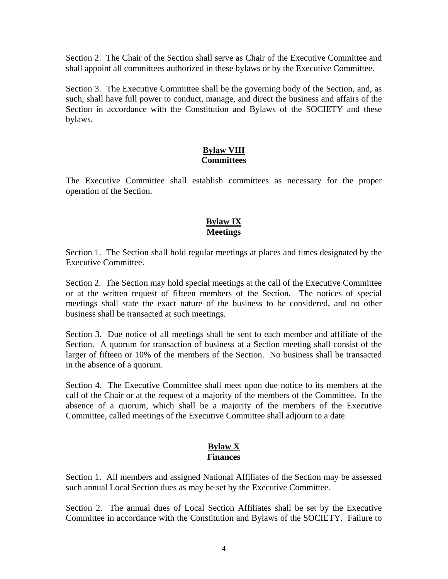Section 2. The Chair of the Section shall serve as Chair of the Executive Committee and shall appoint all committees authorized in these bylaws or by the Executive Committee.

Section 3. The Executive Committee shall be the governing body of the Section, and, as such, shall have full power to conduct, manage, and direct the business and affairs of the Section in accordance with the Constitution and Bylaws of the SOCIETY and these bylaws.

### **Bylaw VIII Committees**

The Executive Committee shall establish committees as necessary for the proper operation of the Section.

# **Bylaw IX Meetings**

Section 1. The Section shall hold regular meetings at places and times designated by the Executive Committee.

Section 2. The Section may hold special meetings at the call of the Executive Committee or at the written request of fifteen members of the Section. The notices of special meetings shall state the exact nature of the business to be considered, and no other business shall be transacted at such meetings.

Section 3. Due notice of all meetings shall be sent to each member and affiliate of the Section. A quorum for transaction of business at a Section meeting shall consist of the larger of fifteen or 10% of the members of the Section. No business shall be transacted in the absence of a quorum.

Section 4. The Executive Committee shall meet upon due notice to its members at the call of the Chair or at the request of a majority of the members of the Committee. In the absence of a quorum, which shall be a majority of the members of the Executive Committee, called meetings of the Executive Committee shall adjourn to a date.

## **Bylaw X Finances**

Section 1. All members and assigned National Affiliates of the Section may be assessed such annual Local Section dues as may be set by the Executive Committee.

Section 2. The annual dues of Local Section Affiliates shall be set by the Executive Committee in accordance with the Constitution and Bylaws of the SOCIETY. Failure to